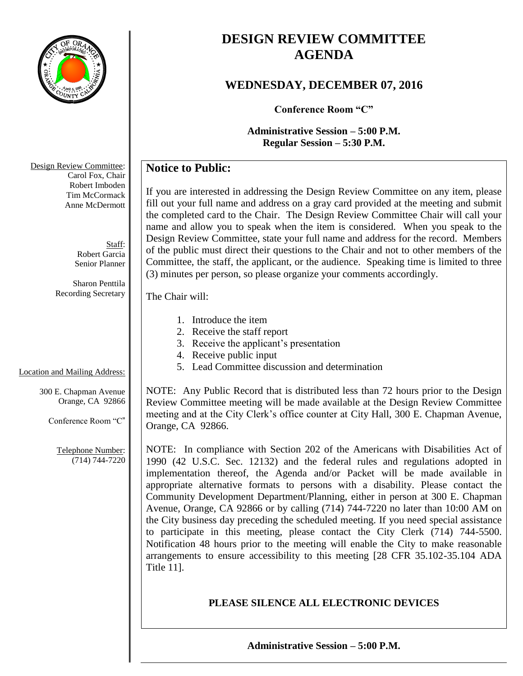

# **DESIGN REVIEW COMMITTEE AGENDA**

# **WEDNESDAY, DECEMBER 07, 2016**

**Conference Room "C"**

**Administrative Session – 5:00 P.M. Regular Session – 5:30 P.M.**

# **Notice to Public:**

If you are interested in addressing the Design Review Committee on any item, please fill out your full name and address on a gray card provided at the meeting and submit the completed card to the Chair. The Design Review Committee Chair will call your name and allow you to speak when the item is considered. When you speak to the Design Review Committee, state your full name and address for the record. Members of the public must direct their questions to the Chair and not to other members of the Committee, the staff, the applicant, or the audience. Speaking time is limited to three (3) minutes per person, so please organize your comments accordingly.

The Chair will:

- 1. Introduce the item
- 2. Receive the staff report
- 3. Receive the applicant's presentation
- 4. Receive public input
- 5. Lead Committee discussion and determination

NOTE: Any Public Record that is distributed less than 72 hours prior to the Design Review Committee meeting will be made available at the Design Review Committee meeting and at the City Clerk's office counter at City Hall, 300 E. Chapman Avenue, Orange, CA 92866.

NOTE: In compliance with Section 202 of the Americans with Disabilities Act of 1990 (42 U.S.C. Sec. 12132) and the federal rules and regulations adopted in implementation thereof, the Agenda and/or Packet will be made available in appropriate alternative formats to persons with a disability. Please contact the Community Development Department/Planning, either in person at 300 E. Chapman Avenue, Orange, CA 92866 or by calling (714) 744-7220 no later than 10:00 AM on the City business day preceding the scheduled meeting. If you need special assistance to participate in this meeting, please contact the City Clerk (714) 744-5500. Notification 48 hours prior to the meeting will enable the City to make reasonable arrangements to ensure accessibility to this meeting [28 CFR 35.102-35.104 ADA Title 11].

# **PLEASE SILENCE ALL ELECTRONIC DEVICES**

Design Review Committee: Carol Fox, Chair Robert Imboden Tim McCormack Anne McDermott

> Staff: Robert Garcia Senior Planner

Sharon Penttila Recording Secretary

## Location and Mailing Address:

300 E. Chapman Avenue Orange, CA 92866

Conference Room "C"

Telephone Number: (714) 744-7220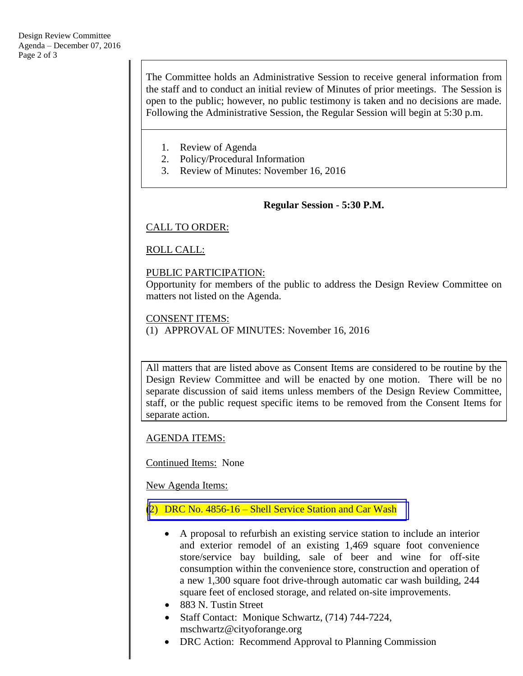The Committee holds an Administrative Session to receive general information from the staff and to conduct an initial review of Minutes of prior meetings. The Session is open to the public; however, no public testimony is taken and no decisions are made. Following the Administrative Session, the Regular Session will begin at 5:30 p.m.

- 1. Review of Agenda
- 2. Policy/Procedural Information
- 3. Review of Minutes: November 16, 2016

#### **Regular Session - 5:30 P.M.**

#### CALL TO ORDER:

ROLL CALL:

#### PUBLIC PARTICIPATION:

Opportunity for members of the public to address the Design Review Committee on matters not listed on the Agenda.

CONSENT ITEMS:

(1) APPROVAL OF MINUTES: November 16, 2016

All matters that are listed above as Consent Items are considered to be routine by the Design Review Committee and will be enacted by one motion. There will be no separate discussion of said items unless members of the Design Review Committee, staff, or the public request specific items to be removed from the Consent Items for separate action.

AGENDA ITEMS:

Continued Items: None

New Agenda Items:

(2) DRC No. 4856-16 – [Shell Service Station and Car Wash](http://www.cityoforange.org/civicax/filebank/blobdload.aspx?BlobID=18534)

- A proposal to refurbish an existing service station to include an interior and exterior remodel of an existing 1,469 square foot convenience store/service bay building, sale of beer and wine for off-site consumption within the convenience store, construction and operation of a new 1,300 square foot drive-through automatic car wash building, 244 square feet of enclosed storage, and related on-site improvements.
- 883 N. Tustin Street
- Staff Contact: Monique Schwartz, (714) 744-7224, mschwartz@cityoforange.org
- DRC Action: Recommend Approval to Planning Commission